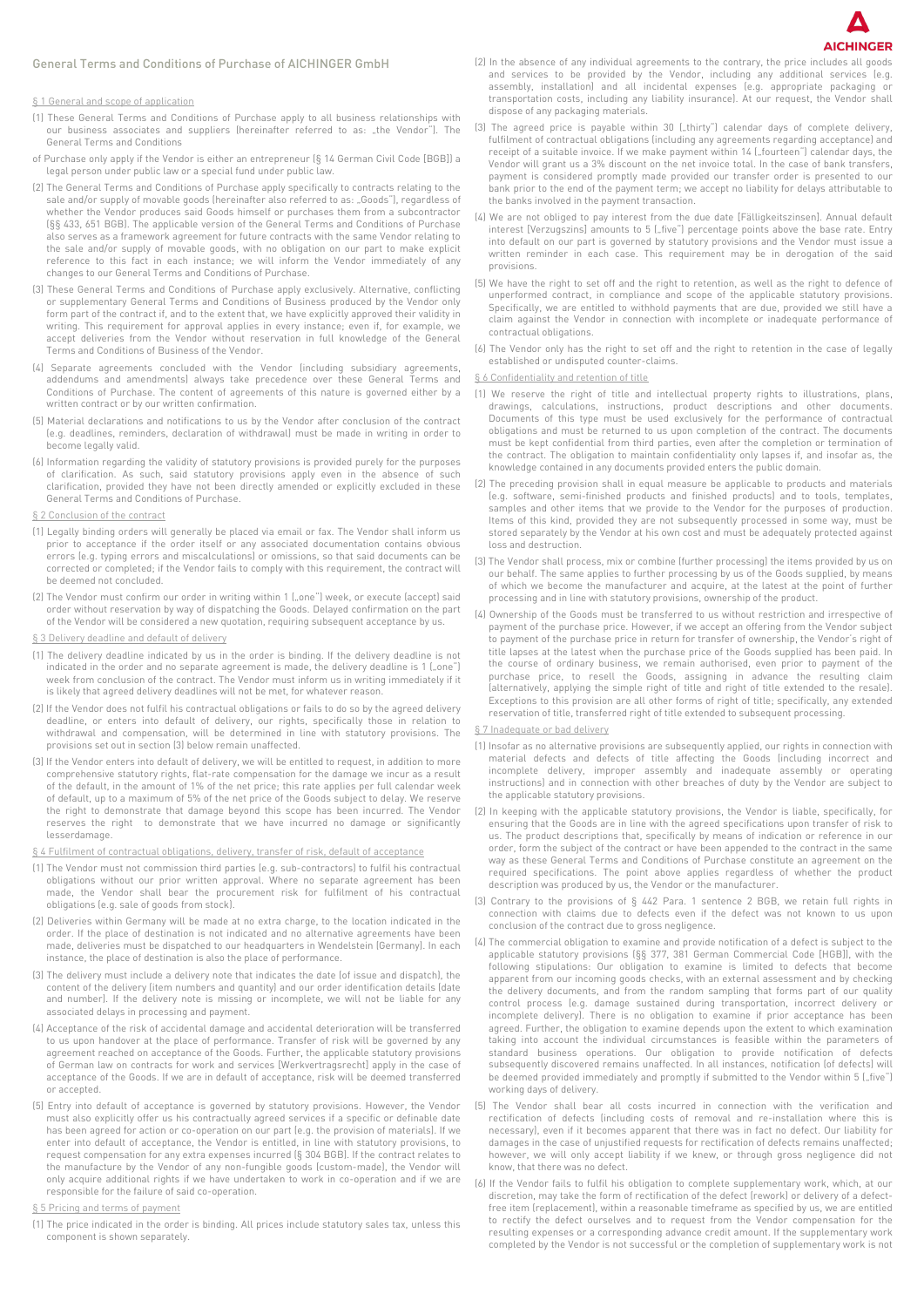## General Terms and Conditions of Purchase of AICHINGER GmbH

## § 1 General and scope of application

- (1) These General Terms and Conditions of Purchase apply to all business relationships with our business associates and suppliers (hereinafter referred to as: "the Vendor"). The General Terms and Conditions
- of Purchase only apply if the Vendor is either an entrepreneur (§ 14 German Civil Code [BGB]) a legal person under public law or a special fund under public law.
- (2) The General Terms and Conditions of Purchase apply specifically to contracts relating to the sale and/or supply of movable goods (hereinafter also referred to as: "Goods"), regardless of whether the Vendor produces said Goods himself or purchases them from a subcontractor (§§ 433, 651 BGB). The applicable version of the General Terms and Conditions of Purchase also serves as a framework agreement for future contracts with the same Vendor relating to the sale and/or supply of movable goods, with no obligation on our part to make explicit reference to this fact in each instance; we will inform the Vendor immediately of any changes to our General Terms and Conditions of Purchase.
- (3) These General Terms and Conditions of Purchase apply exclusively. Alternative, conflicting or supplementary General Terms and Conditions of Business produced by the Vendor only form part of the contract if, and to the extent that, we have explicitly approved their validity in writing. This requirement for approval applies in every instance; even if, for example, we accept deliveries from the Vendor without reservation in full knowledge of the General Terms and Conditions of Business of the Vendor.
- (4) Separate agreements concluded with the Vendor (including subsidiary agreements, addendums and amendments) always take precedence over these General Terms and Conditions of Purchase. The content of agreements of this nature is governed either by a written contract or by our written confirmation.
- (5) Material declarations and notifications to us by the Vendor after conclusion of the contract (e.g. deadlines, reminders, declaration of withdrawal) must be made in writing in order to become legally valid.
- (6) Information regarding the validity of statutory provisions is provided purely for the purposes of clarification. As such, said statutory provisions apply even in the absence of such clarification, provided they have not been directly amended or explicitly excluded in these General Terms and Conditions of Purchase.
- § 2 Conclusion of the contract
- (1) Legally binding orders will generally be placed via email or fax. The Vendor shall inform us prior to acceptance if the order itself or any associated documentation contains obvious errors (e.g. typing errors and miscalculations) or omissions, so that said documents can be corrected or completed; if the Vendor fails to comply with this requirement, the contract will be deemed not concluded.
- (2) The Vendor must confirm our order in writing within 1 ("one") week, or execute (accept) said order without reservation by way of dispatching the Goods. Delayed confirmation on the part of the Vendor will be considered a new quotation, requiring subsequent acceptance by us.
- § 3 Delivery deadline and default of delivery
- (1) The delivery deadline indicated by us in the order is binding. If the delivery deadline is not indicated in the order and no separate agreement is made, the delivery deadline is 1 ("one") week from conclusion of the contract. The Vendor must inform us in writing immediately if it is likely that agreed delivery deadlines will not be met, for whatever reason.
- (2) If the Vendor does not fulfil his contractual obligations or fails to do so by the agreed delivery deadline, or enters into default of delivery, our rights, specifically those in relation to withdrawal and compensation, will be determined in line with statutory provisions. The provisions set out in section (3) below remain unaffected.
- (3) If the Vendor enters into default of delivery, we will be entitled to request, in addition to more comprehensive statutory rights, flat-rate compensation for the damage we incur as a result of the default, in the amount of 1% of the net price; this rate applies per full calendar week of default, up to a maximum of 5% of the net price of the Goods subject to delay. We reserve the right to demonstrate that damage beyond this scope has been incurred. The Vendor reserves the right to demonstrate that we have incurred no damage or significantly lesserdamage.
- § 4 Fulfilment of contractual obligations, delivery, transfer of risk, default of acceptance
- (1) The Vendor must not commission third parties (e.g. sub-contractors) to fulfil his contractual obligations without our prior written approval. Where no separate agreement has been made, the Vendor shall bear the procurement risk for fulfilment of his contractual obligations (e.g. sale of goods from stock).
- (2) Deliveries within Germany will be made at no extra charge, to the location indicated in the order. If the place of destination is not indicated and no alternative agreements have been made, deliveries must be dispatched to our headquarters in Wendelstein (Germany). In each instance, the place of destination is also the place of performance.
- (3) The delivery must include a delivery note that indicates the date (of issue and dispatch), the content of the delivery (item numbers and quantity) and our order identification details (date and number). If the delivery note is missing or incomplete, we will not be liable for any associated delays in processing and payment.
- (4) Acceptance of the risk of accidental damage and accidental deterioration will be transferred to us upon handover at the place of performance. Transfer of risk will be governed by any agreement reached on acceptance of the Goods. Further, the applicable statutory provisions of German law on contracts for work and services [Werkvertragsrecht] apply in the case of acceptance of the Goods. If we are in default of acceptance, risk will be deemed transferred or accepted.
- (5) Entry into default of acceptance is governed by statutory provisions. However, the Vendor must also explicitly offer us his contractually agreed services if a specific or definable date has been agreed for action or co-operation on our part (e.g. the provision of materials). If we enter into default of acceptance, the Vendor is entitled, in line with statutory provisions, to request compensation for any extra expenses incurred (§ 304 BGB). If the contract relates to the manufacture by the Vendor of any non-fungible goods (custom-made), the Vendor will only acquire additional rights if we have undertaken to work in co-operation and if we are responsible for the failure of said co-operation.
- § 5 Pricing and terms of payment
- (1) The price indicated in the order is binding. All prices include statutory sales tax, unless this component is shown separately.
- (2) In the absence of any individual agreements to the contrary, the price includes all goods and services to be provided by the Vendor, including any additional services (e.g. assembly, installation) and all incidental expenses (e.g. appropriate packaging transportation costs, including any liability insurance). At our request, the Vendor shall dispose of any packaging materials.
- (3) The agreed price is payable within 30 ("thirty") calendar days of complete delivery, fulfilment of contractual obligations (including any agreements regarding acceptance) and receipt of a suitable invoice. If we make payment within 14 ("fourteen") calendar days, the Vendor will grant us a 3% discount on the net invoice total. In the case of bank transfers, payment is considered promptly made provided our transfer order is presented to our bank prior to the end of the payment term; we accept no liability for delays attributable to the banks involved in the payment transaction.
- (4) We are not obliged to pay interest from the due date [Fälligkeitszinsen]. Annual default interest [Verzugszins] amounts to 5 ("five") percentage points above the base rate. Entry into default on our part is governed by statutory provisions and the Vendor must issue a written reminder in each case. This requirement may be in derogation of the said provisions.
- (5) We have the right to set off and the right to retention, as well as the right to defence of unperformed contract, in compliance and scope of the applicable statutory provisions. Specifically, we are entitled to withhold payments that are due, provided we still have a claim against the Vendor in connection with incomplete or inadequate performance of contractual obligations.
- (6) The Vendor only has the right to set off and the right to retention in the case of legally established or undisputed counter-claims.

## § 6 Confidentiality and retention of title

- (1) We reserve the right of title and intellectual property rights to illustrations, plans, drawings, calculations, instructions, product descriptions and other documents. Documents of this type must be used exclusively for the performance of contractual obligations and must be returned to us upon completion of the contract. The documents must be kept confidential from third parties, even after the completion or termination of the contract. The obligation to maintain confidentiality only lapses if, and insofar as, the knowledge contained in any documents provided enters the public domain.
- (2) The preceding provision shall in equal measure be applicable to products and materials (e.g. software, semi-finished products and finished products) and to tools, templates, samples and other items that we provide to the Vendor for the purposes of production. Items of this kind, provided they are not subsequently processed in some way, must be stored separately by the Vendor at his own cost and must be adequately protected against loss and destruction.
- (3) The Vendor shall process, mix or combine (further processing) the items provided by us on our behalf. The same applies to further processing by us of the Goods supplied, by means of which we become the manufacturer and acquire, at the latest at the point of further processing and in line with statutory provisions, ownership of the product.
- (4) Ownership of the Goods must be transferred to us without restriction and irrespective of payment of the purchase price. However, if we accept an offering from the Vendor subject to payment of the purchase price in return for transfer of ownership, the Vendor's right of title lapses at the latest when the purchase price of the Goods supplied has been paid. In the course of ordinary business, we remain authorised, even prior to payment of the purchase price, to resell the Goods, assigning in advance the resulting claim .<br>(alternatively, applying the simple right of title and right of title extended to the resale) Exceptions to this provision are all other forms of right of title; specifically, any extended reservation of title, transferred right of title extended to subsequent processing.

## § 7 Inadequate or bad delivery

- (1) Insofar as no alternative provisions are subsequently applied, our rights in connection with material defects and defects of title affecting the Goods (including incorrect and incomplete delivery, improper assembly and inadequate assembly or operating instructions) and in connection with other breaches of duty by the Vendor are subject to the applicable statutory provisions.
- (2) In keeping with the applicable statutory provisions, the Vendor is liable, specifically, for ensuring that the Goods are in line with the agreed specifications upon transfer of risk to us. The product descriptions that, specifically by means of indication or reference in our order, form the subject of the contract or have been appended to the contract in the same way as these General Terms and Conditions of Purchase constitute an agreement on the required specifications. The point above applies regardless of whether the product description was produced by us, the Vendor or the manufacturer.
- (3) Contrary to the provisions of § 442 Para. 1 sentence 2 BGB, we retain full rights in connection with claims due to defects even if the defect was not known to us upon conclusion of the contract due to gross negligence.
- (4) The commercial obligation to examine and provide notification of a defect is subject to the applicable statutory provisions (§§ 377, 381 German Commercial Code [HGB]), with the following stipulations: Our obligation to examine is limited to defects that become apparent from our incoming goods checks, with an external assessment and by checking the delivery documents, and from the random sampling that forms part of our quality control process (e.g. damage sustained during transportation, incorrect delivery or incomplete delivery). There is no obligation to examine if prior acceptance has been agreed. Further, the obligation to examine depends upon the extent to which examination taking into account the individual circumstances is feasible within the parameters of standard business operations. Our obligation to provide notification of defects subsequently discovered remains unaffected. In all instances, notification (of defects) will be deemed provided immediately and promptly if submitted to the Vendor within 5 ("five") working days of delivery.
- (5) The Vendor shall bear all costs incurred in connection with the verification and rectification of defects (including costs of removal and re-installation where this is necessary), even if it becomes apparent that there was in fact no defect. Our liability for damages in the case of unjustified requests for rectification of defects remains unaffected; however, we will only accept liability if we knew, or through gross negligence did not know, that there was no defect.
- (6) If the Vendor fails to fulfil his obligation to complete supplementary work, which, at our discretion, may take the form of rectification of the defect (rework) or delivery of a defectfree item (replacement), within a reasonable timeframe as specified by us, we are entitled to rectify the defect ourselves and to request from the Vendor compensation for the resulting expenses or a corresponding advance credit amount. If the supplementary work completed by the Vendor is not successful or the completion of supplementary work is not